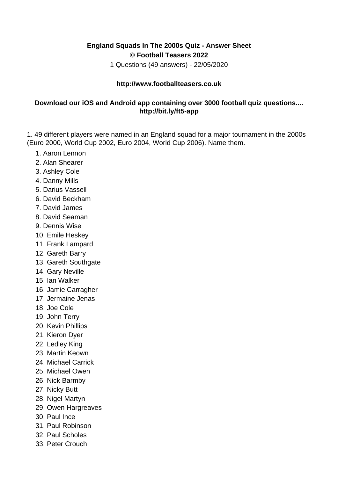## **England Squads In The 2000s Quiz - Answer Sheet © Football Teasers 2022**

1 Questions (49 answers) - 22/05/2020

## **http://www.footballteasers.co.uk**

## **Download our iOS and Android app containing over 3000 football quiz questions.... http://bit.ly/ft5-app**

1. 49 different players were named in an England squad for a major tournament in the 2000s (Euro 2000, World Cup 2002, Euro 2004, World Cup 2006). Name them.

- 1. Aaron Lennon
- 2. Alan Shearer
- 3. Ashley Cole
- 4. Danny Mills
- 5. Darius Vassell
- 6. David Beckham
- 7. David James
- 8. David Seaman
- 9. Dennis Wise
- 10. Emile Heskey
- 11. Frank Lampard
- 12. Gareth Barry
- 13. Gareth Southgate
- 14. Gary Neville
- 15. Ian Walker
- 16. Jamie Carragher
- 17. Jermaine Jenas
- 18. Joe Cole
- 19. John Terry
- 20. Kevin Phillips
- 21. Kieron Dyer
- 22. Ledley King
- 23. Martin Keown
- 24. Michael Carrick
- 25. Michael Owen
- 26. Nick Barmby
- 27. Nicky Butt
- 28. Nigel Martyn
- 29. Owen Hargreaves
- 30. Paul Ince
- 31. Paul Robinson
- 32. Paul Scholes
- 33. Peter Crouch